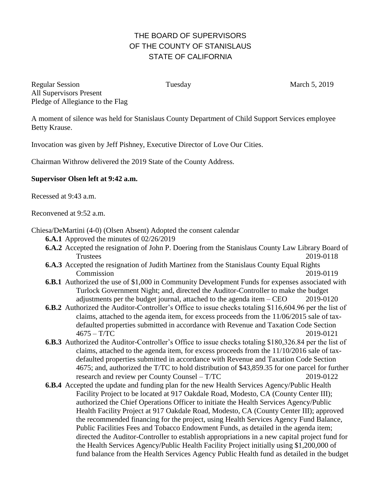## THE BOARD OF SUPERVISORS OF THE COUNTY OF STANISLAUS STATE OF CALIFORNIA

Regular Session Tuesday Tuesday March 5, 2019 All Supervisors Present Pledge of Allegiance to the Flag

A moment of silence was held for Stanislaus County Department of Child Support Services employee Betty Krause.

Invocation was given by Jeff Pishney, Executive Director of Love Our Cities.

Chairman Withrow delivered the 2019 State of the County Address.

## **Supervisor Olsen left at 9:42 a.m.**

Recessed at 9:43 a.m.

Reconvened at 9:52 a.m.

Chiesa/DeMartini (4-0) (Olsen Absent) Adopted the consent calendar

- **6.A.1** Approved the minutes of 02/26/2019
- **6.A.2** Accepted the resignation of John P. Doering from the Stanislaus County Law Library Board of Trustees 2019-0118
- **6.A.3** Accepted the resignation of Judith Martinez from the Stanislaus County Equal Rights Commission 2019-0119
- **6.B.1** Authorized the use of \$1,000 in Community Development Funds for expenses associated with Turlock Government Night; and, directed the Auditor-Controller to make the budget adjustments per the budget journal, attached to the agenda item – CEO 2019-0120
- **6.B.2** Authorized the Auditor-Controller's Office to issue checks totaling \$116,604.96 per the list of claims, attached to the agenda item, for excess proceeds from the 11/06/2015 sale of taxdefaulted properties submitted in accordance with Revenue and Taxation Code Section 4675 – T/TC 2019-0121
- **6.B.3** Authorized the Auditor-Controller's Office to issue checks totaling \$180,326.84 per the list of claims, attached to the agenda item, for excess proceeds from the 11/10/2016 sale of taxdefaulted properties submitted in accordance with Revenue and Taxation Code Section 4675; and, authorized the T/TC to hold distribution of \$43,859.35 for one parcel for further research and review per County Counsel – T/TC 2019-0122
- **6.B.4** Accepted the update and funding plan for the new Health Services Agency/Public Health Facility Project to be located at 917 Oakdale Road, Modesto, CA (County Center III); authorized the Chief Operations Officer to initiate the Health Services Agency/Public Health Facility Project at 917 Oakdale Road, Modesto, CA (County Center III); approved the recommended financing for the project, using Health Services Agency Fund Balance, Public Facilities Fees and Tobacco Endowment Funds, as detailed in the agenda item; directed the Auditor-Controller to establish appropriations in a new capital project fund for the Health Services Agency/Public Health Facility Project initially using \$1,200,000 of fund balance from the Health Services Agency Public Health fund as detailed in the budget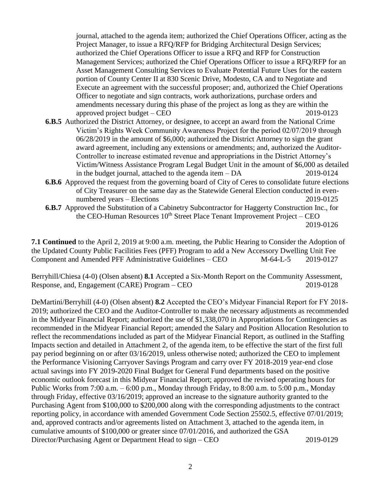journal, attached to the agenda item; authorized the Chief Operations Officer, acting as the Project Manager, to issue a RFQ/RFP for Bridging Architectural Design Services; authorized the Chief Operations Officer to issue a RFQ and RFP for Construction Management Services; authorized the Chief Operations Officer to issue a RFQ/RFP for an Asset Management Consulting Services to Evaluate Potential Future Uses for the eastern portion of County Center II at 830 Scenic Drive, Modesto, CA and to Negotiate and Execute an agreement with the successful proposer; and, authorized the Chief Operations Officer to negotiate and sign contracts, work authorizations, purchase orders and amendments necessary during this phase of the project as long as they are within the approved project budget – CEO 2019-0123

- **6.B.5** Authorized the District Attorney, or designee, to accept an award from the National Crime Victim's Rights Week Community Awareness Project for the period 02/07/2019 through 06/28/2019 in the amount of \$6,000; authorized the District Attorney to sign the grant award agreement, including any extensions or amendments; and, authorized the Auditor-Controller to increase estimated revenue and appropriations in the District Attorney's Victim/Witness Assistance Program Legal Budget Unit in the amount of \$6,000 as detailed in the budget journal, attached to the agenda item – DA 2019-0124
- **6.B.6** Approved the request from the governing board of City of Ceres to consolidate future elections of City Treasurer on the same day as the Statewide General Election conducted in evennumbered years – Elections 2019-0125
- **6.B.7** Approved the Substitution of a Cabinetry Subcontractor for Haggerty Construction Inc., for the CEO-Human Resources 10<sup>th</sup> Street Place Tenant Improvement Project – CEO 2019-0126

**7.1 Continued** to the April 2, 2019 at 9:00 a.m. meeting, the Public Hearing to Consider the Adoption of the Updated County Public Facilities Fees (PFF) Program to add a New Accessory Dwelling Unit Fee Component and Amended PFF Administrative Guidelines – CEO M-64-L-5 2019-0127

Berryhill/Chiesa (4-0) (Olsen absent) **8.1** Accepted a Six-Month Report on the Community Assessment, Response, and, Engagement (CARE) Program – CEO 2019-0128

DeMartini/Berryhill (4-0) (Olsen absent) **8.2** Accepted the CEO's Midyear Financial Report for FY 2018- 2019; authorized the CEO and the Auditor-Controller to make the necessary adjustments as recommended in the Midyear Financial Report; authorized the use of \$1,338,070 in Appropriations for Contingencies as recommended in the Midyear Financial Report; amended the Salary and Position Allocation Resolution to reflect the recommendations included as part of the Midyear Financial Report, as outlined in the Staffing Impacts section and detailed in Attachment 2, of the agenda item, to be effective the start of the first full pay period beginning on or after 03/16/2019, unless otherwise noted; authorized the CEO to implement the Performance Visioning Carryover Savings Program and carry over FY 2018-2019 year-end close actual savings into FY 2019-2020 Final Budget for General Fund departments based on the positive economic outlook forecast in this Midyear Financial Report; approved the revised operating hours for Public Works from 7:00 a.m. – 6:00 p.m., Monday through Friday, to 8:00 a.m. to 5:00 p.m., Monday through Friday, effective 03/16/2019; approved an increase to the signature authority granted to the Purchasing Agent from \$100,000 to \$200,000 along with the corresponding adjustments to the contract reporting policy, in accordance with amended Government Code Section 25502.5, effective 07/01/2019; and, approved contracts and/or agreements listed on Attachment 3, attached to the agenda item, in cumulative amounts of \$100,000 or greater since 07/01/2016, and authorized the GSA Director/Purchasing Agent or Department Head to sign – CEO 2019-0129